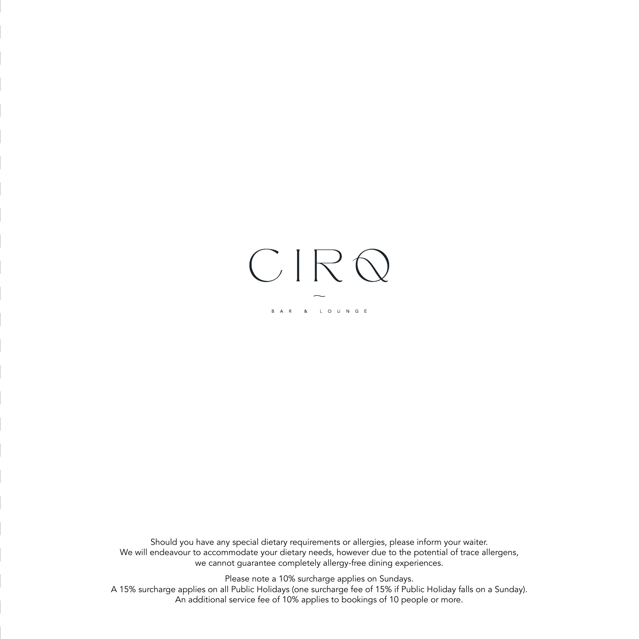

Should you have any special dietary requirements or allergies, please inform your waiter. We will endeavour to accommodate your dietary needs, however due to the potential of trace allergens, we cannot guarantee completely allergy-free dining experiences.

Please note a 10% surcharge applies on Sundays.

A 15% surcharge applies on all Public Holidays (one surcharge fee of 15% if Public Holiday falls on a Sunday). An additional service fee of 10% applies to bookings of 10 people or more.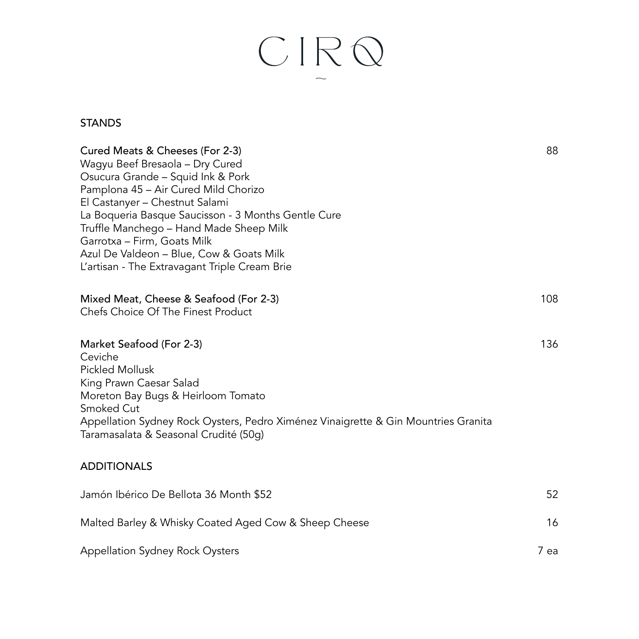## $\begin{array}{c} C \mid R \; \mathbb{Q} \end{array}$

#### STANDS

| Cured Meats & Cheeses (For 2-3)<br>Wagyu Beef Bresaola - Dry Cured<br>Osucura Grande - Squid Ink & Pork<br>Pamplona 45 - Air Cured Mild Chorizo<br>El Castanyer - Chestnut Salami<br>La Boqueria Basque Saucisson - 3 Months Gentle Cure<br>Truffle Manchego - Hand Made Sheep Milk<br>Garrotxa - Firm, Goats Milk<br>Azul De Valdeon - Blue, Cow & Goats Milk<br>L'artisan - The Extravagant Triple Cream Brie | 88   |
|-----------------------------------------------------------------------------------------------------------------------------------------------------------------------------------------------------------------------------------------------------------------------------------------------------------------------------------------------------------------------------------------------------------------|------|
| Mixed Meat, Cheese & Seafood (For 2-3)<br><b>Chefs Choice Of The Finest Product</b>                                                                                                                                                                                                                                                                                                                             | 108  |
| Market Seafood (For 2-3)<br>Ceviche<br><b>Pickled Mollusk</b><br>King Prawn Caesar Salad<br>Moreton Bay Bugs & Heirloom Tomato<br>Smoked Cut<br>Appellation Sydney Rock Oysters, Pedro Ximénez Vinaigrette & Gin Mountries Granita<br>Taramasalata & Seasonal Crudité (50g)                                                                                                                                     | 136  |
| <b>ADDITIONALS</b>                                                                                                                                                                                                                                                                                                                                                                                              |      |
| Jamón Ibérico De Bellota 36 Month \$52                                                                                                                                                                                                                                                                                                                                                                          | 52   |
| Malted Barley & Whisky Coated Aged Cow & Sheep Cheese                                                                                                                                                                                                                                                                                                                                                           | 16   |
| <b>Appellation Sydney Rock Oysters</b>                                                                                                                                                                                                                                                                                                                                                                          | 7 ea |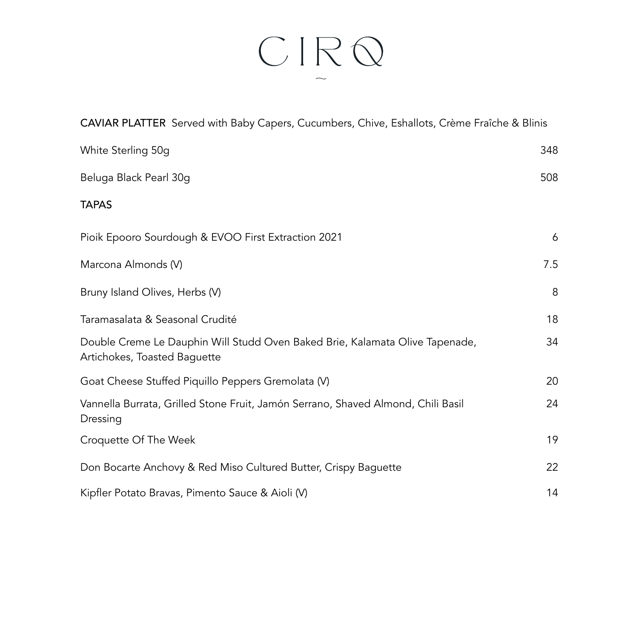### $\begin{array}{c} C \mid R \; \mathbb{Q} \end{array}$

CAVIAR PLATTER Served with Baby Capers, Cucumbers, Chive, Eshallots, Crème Fraîche & Blinis

| White Sterling 50g                                                                                           | 348 |
|--------------------------------------------------------------------------------------------------------------|-----|
| Beluga Black Pearl 30g                                                                                       | 508 |
| <b>TAPAS</b>                                                                                                 |     |
| Pioik Epooro Sourdough & EVOO First Extraction 2021                                                          | 6   |
| Marcona Almonds (V)                                                                                          | 7.5 |
| Bruny Island Olives, Herbs (V)                                                                               | 8   |
| Taramasalata & Seasonal Crudité                                                                              | 18  |
| Double Creme Le Dauphin Will Studd Oven Baked Brie, Kalamata Olive Tapenade,<br>Artichokes, Toasted Baguette | 34  |
| Goat Cheese Stuffed Piquillo Peppers Gremolata (V)                                                           | 20  |
| Vannella Burrata, Grilled Stone Fruit, Jamón Serrano, Shaved Almond, Chili Basil<br>Dressing                 | 24  |
| Croquette Of The Week                                                                                        | 19  |
| Don Bocarte Anchovy & Red Miso Cultured Butter, Crispy Baguette                                              | 22  |
| Kipfler Potato Bravas, Pimento Sauce & Aioli (V)                                                             | 14  |